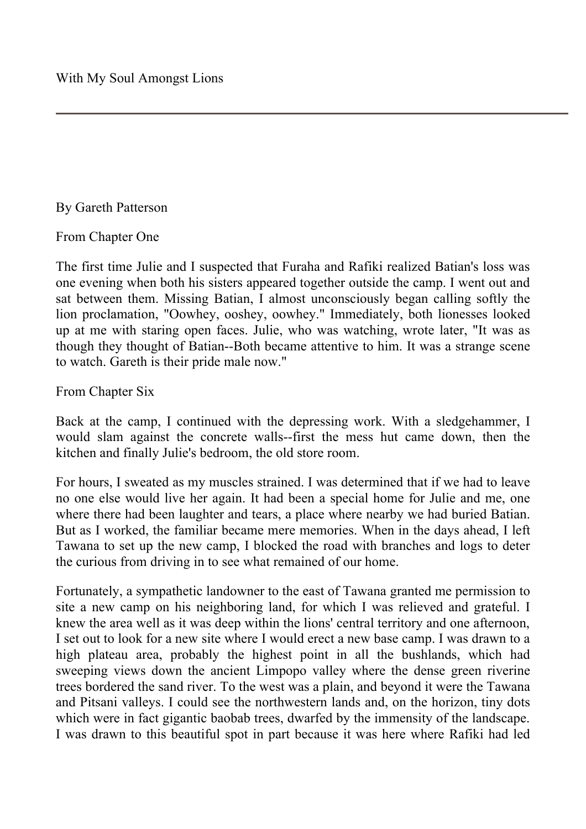## By Gareth Patterson

From Chapter One

The first time Julie and I suspected that Furaha and Rafiki realized Batian's loss was one evening when both his sisters appeared together outside the camp. I went out and sat between them. Missing Batian, I almost unconsciously began calling softly the lion proclamation, "Oowhey, ooshey, oowhey." Immediately, both lionesses looked up at me with staring open faces. Julie, who was watching, wrote later, "It was as though they thought of Batian--Both became attentive to him. It was a strange scene to watch. Gareth is their pride male now."

From Chapter Six

Back at the camp, I continued with the depressing work. With a sledgehammer, I would slam against the concrete walls--first the mess hut came down, then the kitchen and finally Julie's bedroom, the old store room.

For hours, I sweated as my muscles strained. I was determined that if we had to leave no one else would live her again. It had been a special home for Julie and me, one where there had been laughter and tears, a place where nearby we had buried Batian. But as I worked, the familiar became mere memories. When in the days ahead, I left Tawana to set up the new camp, I blocked the road with branches and logs to deter the curious from driving in to see what remained of our home.

Fortunately, a sympathetic landowner to the east of Tawana granted me permission to site a new camp on his neighboring land, for which I was relieved and grateful. I knew the area well as it was deep within the lions' central territory and one afternoon, I set out to look for a new site where I would erect a new base camp. I was drawn to a high plateau area, probably the highest point in all the bushlands, which had sweeping views down the ancient Limpopo valley where the dense green riverine trees bordered the sand river. To the west was a plain, and beyond it were the Tawana and Pitsani valleys. I could see the northwestern lands and, on the horizon, tiny dots which were in fact gigantic baobab trees, dwarfed by the immensity of the landscape. I was drawn to this beautiful spot in part because it was here where Rafiki had led